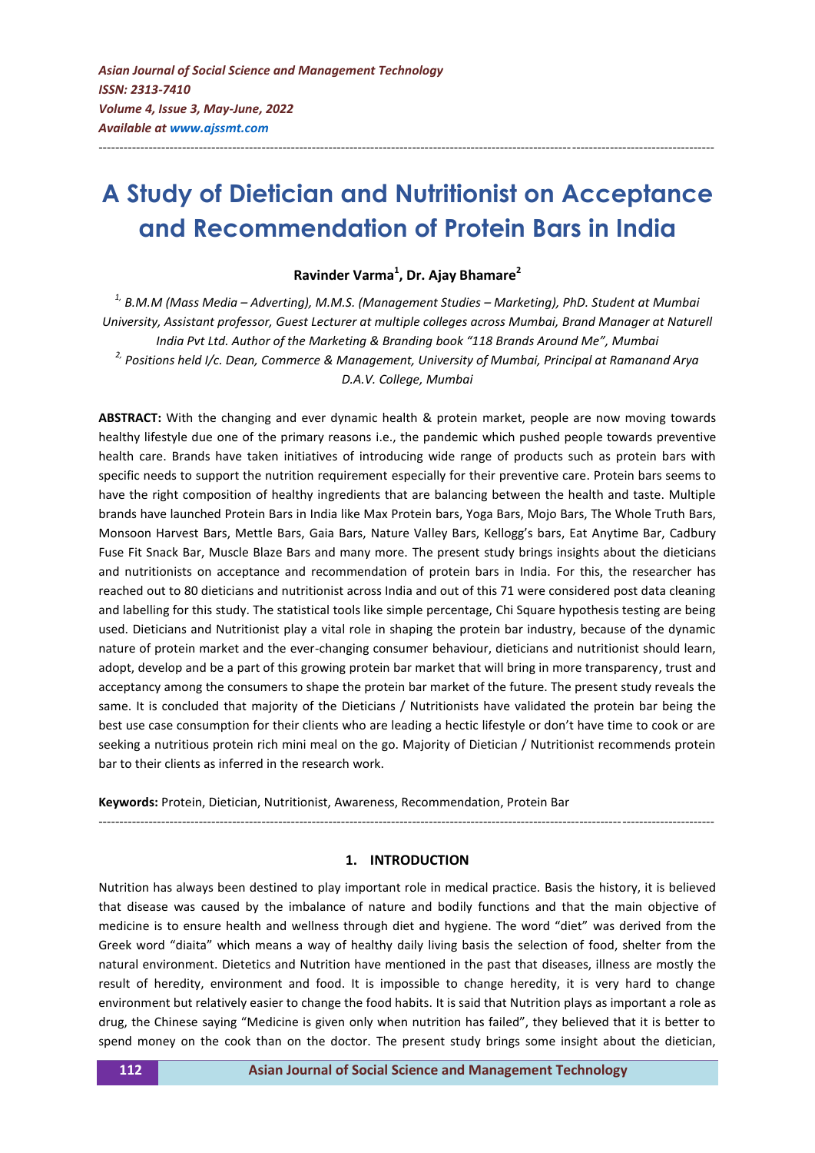# **A Study of Dietician and Nutritionist on Acceptance and Recommendation of Protein Bars in India**

---------------------------------------------------------------------------------------------------------------------------------------------------

## **Ravinder Varma<sup>1</sup> , Dr. Ajay Bhamare<sup>2</sup>**

<sup>1,</sup> B.M.M (Mass Media – Adverting), M.M.S. (Management Studies – Marketing), PhD. Student at Mumbai *University, Assistant professor, Guest Lecturer at multiple colleges across Mumbai, Brand Manager at Naturell India Pvt Ltd. Author of the Marketing & Branding book "118 Brands Around Me", Mumbai 2, Positions held I/c. Dean, Commerce & Management, University of Mumbai, Principal at Ramanand Arya D.A.V. College, Mumbai*

**ABSTRACT:** With the changing and ever dynamic health & protein market, people are now moving towards healthy lifestyle due one of the primary reasons i.e., the pandemic which pushed people towards preventive health care. Brands have taken initiatives of introducing wide range of products such as protein bars with specific needs to support the nutrition requirement especially for their preventive care. Protein bars seems to have the right composition of healthy ingredients that are balancing between the health and taste. Multiple brands have launched Protein Bars in India like Max Protein bars, Yoga Bars, Mojo Bars, The Whole Truth Bars, Monsoon Harvest Bars, Mettle Bars, Gaia Bars, Nature Valley Bars, Kellogg's bars, Eat Anytime Bar, Cadbury Fuse Fit Snack Bar, Muscle Blaze Bars and many more. The present study brings insights about the dieticians and nutritionists on acceptance and recommendation of protein bars in India. For this, the researcher has reached out to 80 dieticians and nutritionist across India and out of this 71 were considered post data cleaning and labelling for this study. The statistical tools like simple percentage, Chi Square hypothesis testing are being used. Dieticians and Nutritionist play a vital role in shaping the protein bar industry, because of the dynamic nature of protein market and the ever-changing consumer behaviour, dieticians and nutritionist should learn, adopt, develop and be a part of this growing protein bar market that will bring in more transparency, trust and acceptancy among the consumers to shape the protein bar market of the future. The present study reveals the same. It is concluded that majority of the Dieticians / Nutritionists have validated the protein bar being the best use case consumption for their clients who are leading a hectic lifestyle or don't have time to cook or are seeking a nutritious protein rich mini meal on the go. Majority of Dietician / Nutritionist recommends protein bar to their clients as inferred in the research work.

**Keywords:** Protein, Dietician, Nutritionist, Awareness, Recommendation, Protein Bar

#### **1. INTRODUCTION**

---------------------------------------------------------------------------------------------------------------------------------------------------

Nutrition has always been destined to play important role in medical practice. Basis the history, it is believed that disease was caused by the imbalance of nature and bodily functions and that the main objective of medicine is to ensure health and wellness through diet and hygiene. The word "diet" was derived from the Greek word "diaita" which means a way of healthy daily living basis the selection of food, shelter from the natural environment. Dietetics and Nutrition have mentioned in the past that diseases, illness are mostly the result of heredity, environment and food. It is impossible to change heredity, it is very hard to change environment but relatively easier to change the food habits. It is said that Nutrition plays as important a role as drug, the Chinese saying "Medicine is given only when nutrition has failed", they believed that it is better to spend money on the cook than on the doctor. The present study brings some insight about the dietician,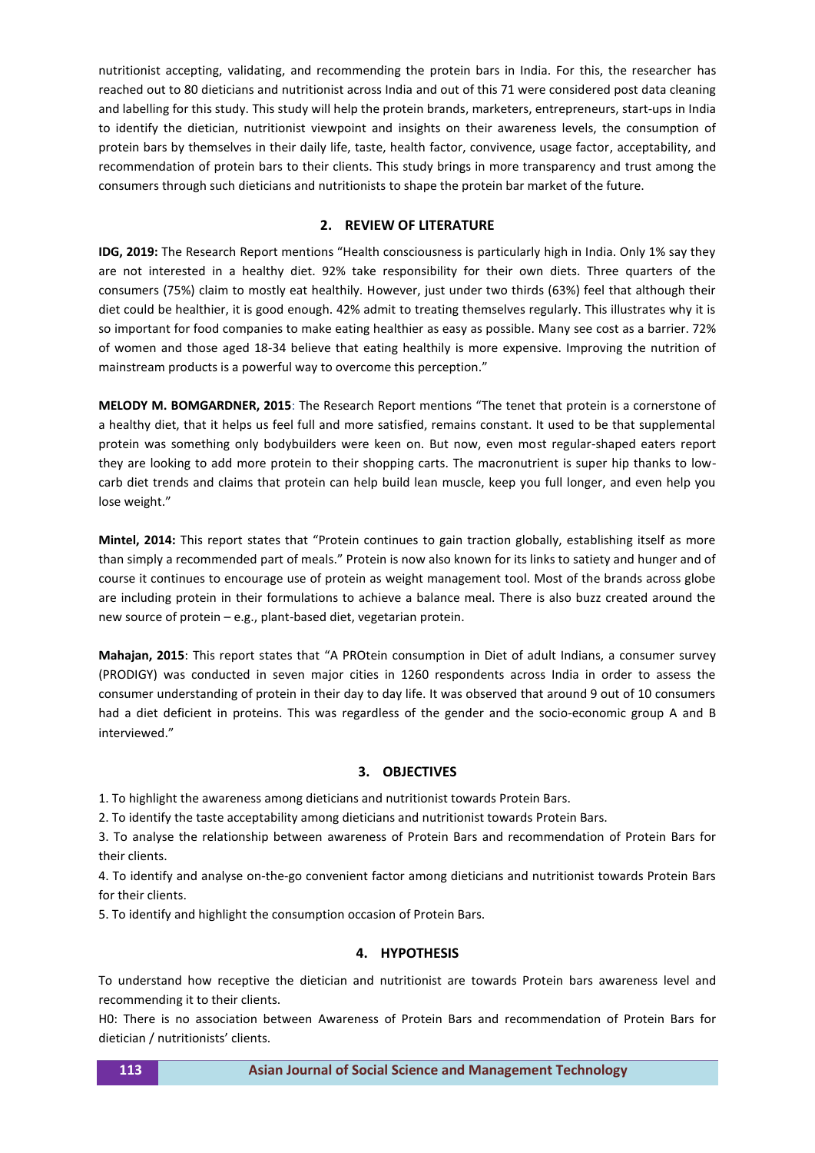nutritionist accepting, validating, and recommending the protein bars in India. For this, the researcher has reached out to 80 dieticians and nutritionist across India and out of this 71 were considered post data cleaning and labelling for this study. This study will help the protein brands, marketers, entrepreneurs, start-ups in India to identify the dietician, nutritionist viewpoint and insights on their awareness levels, the consumption of protein bars by themselves in their daily life, taste, health factor, convivence, usage factor, acceptability, and recommendation of protein bars to their clients. This study brings in more transparency and trust among the consumers through such dieticians and nutritionists to shape the protein bar market of the future.

## **2. REVIEW OF LITERATURE**

**IDG, 2019:** The Research Report mentions "Health consciousness is particularly high in India. Only 1% say they are not interested in a healthy diet. 92% take responsibility for their own diets. Three quarters of the consumers (75%) claim to mostly eat healthily. However, just under two thirds (63%) feel that although their diet could be healthier, it is good enough. 42% admit to treating themselves regularly. This illustrates why it is so important for food companies to make eating healthier as easy as possible. Many see cost as a barrier. 72% of women and those aged 18-34 believe that eating healthily is more expensive. Improving the nutrition of mainstream products is a powerful way to overcome this perception."

**MELODY M. BOMGARDNER, 2015**: The Research Report mentions "The tenet that protein is a cornerstone of a healthy diet, that it helps us feel full and more satisfied, remains constant. It used to be that supplemental protein was something only bodybuilders were keen on. But now, even most regular-shaped eaters report they are looking to add more protein to their shopping carts. The macronutrient is super hip thanks to lowcarb diet trends and claims that protein can help build lean muscle, keep you full longer, and even help you lose weight."

**Mintel, 2014:** This report states that "Protein continues to gain traction globally, establishing itself as more than simply a recommended part of meals." Protein is now also known for its links to satiety and hunger and of course it continues to encourage use of protein as weight management tool. Most of the brands across globe are including protein in their formulations to achieve a balance meal. There is also buzz created around the new source of protein – e.g., plant-based diet, vegetarian protein.

**Mahajan, 2015**: This report states that "A PROtein consumption in Diet of adult Indians, a consumer survey (PRODIGY) was conducted in seven major cities in 1260 respondents across India in order to assess the consumer understanding of protein in their day to day life. It was observed that around 9 out of 10 consumers had a diet deficient in proteins. This was regardless of the gender and the socio-economic group A and B interviewed."

#### **3. OBJECTIVES**

1. To highlight the awareness among dieticians and nutritionist towards Protein Bars.

2. To identify the taste acceptability among dieticians and nutritionist towards Protein Bars.

3. To analyse the relationship between awareness of Protein Bars and recommendation of Protein Bars for their clients.

4. To identify and analyse on-the-go convenient factor among dieticians and nutritionist towards Protein Bars for their clients.

5. To identify and highlight the consumption occasion of Protein Bars.

## **4. HYPOTHESIS**

To understand how receptive the dietician and nutritionist are towards Protein bars awareness level and recommending it to their clients.

H0: There is no association between Awareness of Protein Bars and recommendation of Protein Bars for dietician / nutritionists' clients.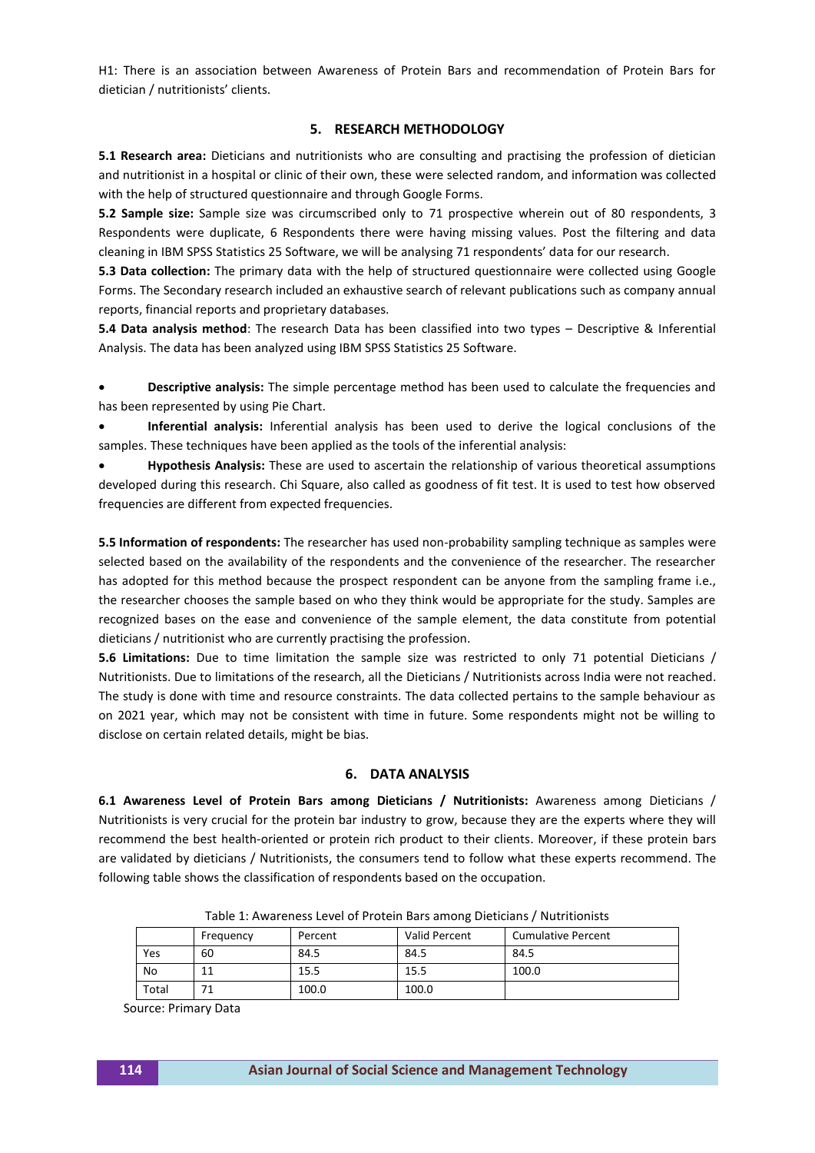H1: There is an association between Awareness of Protein Bars and recommendation of Protein Bars for dietician / nutritionists' clients.

#### **5. RESEARCH METHODOLOGY**

**5.1 Research area:** Dieticians and nutritionists who are consulting and practising the profession of dietician and nutritionist in a hospital or clinic of their own, these were selected random, and information was collected with the help of structured questionnaire and through Google Forms.

**5.2 Sample size:** Sample size was circumscribed only to 71 prospective wherein out of 80 respondents, 3 Respondents were duplicate, 6 Respondents there were having missing values. Post the filtering and data cleaning in IBM SPSS Statistics 25 Software, we will be analysing 71 respondents' data for our research.

**5.3 Data collection:** The primary data with the help of structured questionnaire were collected using Google Forms. The Secondary research included an exhaustive search of relevant publications such as company annual reports, financial reports and proprietary databases.

**5.4 Data analysis method**: The research Data has been classified into two types – Descriptive & Inferential Analysis. The data has been analyzed using IBM SPSS Statistics 25 Software.

 **Descriptive analysis:** The simple percentage method has been used to calculate the frequencies and has been represented by using Pie Chart.

 **Inferential analysis:** Inferential analysis has been used to derive the logical conclusions of the samples. These techniques have been applied as the tools of the inferential analysis:

 **Hypothesis Analysis:** These are used to ascertain the relationship of various theoretical assumptions developed during this research. Chi Square, also called as goodness of fit test. It is used to test how observed frequencies are different from expected frequencies.

**5.5 Information of respondents:** The researcher has used non-probability sampling technique as samples were selected based on the availability of the respondents and the convenience of the researcher. The researcher has adopted for this method because the prospect respondent can be anyone from the sampling frame i.e., the researcher chooses the sample based on who they think would be appropriate for the study. Samples are recognized bases on the ease and convenience of the sample element, the data constitute from potential dieticians / nutritionist who are currently practising the profession.

**5.6 Limitations:** Due to time limitation the sample size was restricted to only 71 potential Dieticians / Nutritionists. Due to limitations of the research, all the Dieticians / Nutritionists across India were not reached. The study is done with time and resource constraints. The data collected pertains to the sample behaviour as on 2021 year, which may not be consistent with time in future. Some respondents might not be willing to disclose on certain related details, might be bias.

### **6. DATA ANALYSIS**

**6.1 Awareness Level of Protein Bars among Dieticians / Nutritionists:** Awareness among Dieticians / Nutritionists is very crucial for the protein bar industry to grow, because they are the experts where they will recommend the best health-oriented or protein rich product to their clients. Moreover, if these protein bars are validated by dieticians / Nutritionists, the consumers tend to follow what these experts recommend. The following table shows the classification of respondents based on the occupation.

|       | Frequency | Percent | Valid Percent | <b>Cumulative Percent</b> |  |  |  |
|-------|-----------|---------|---------------|---------------------------|--|--|--|
| Yes   | 60        | 84.5    | 84.5          | 84.5                      |  |  |  |
| No    |           | 15.5    | 15.5          | 100.0                     |  |  |  |
| Total |           | 100.0   | 100.0         |                           |  |  |  |

Table 1: Awareness Level of Protein Bars among Dieticians / Nutritionists

Source: Primary Data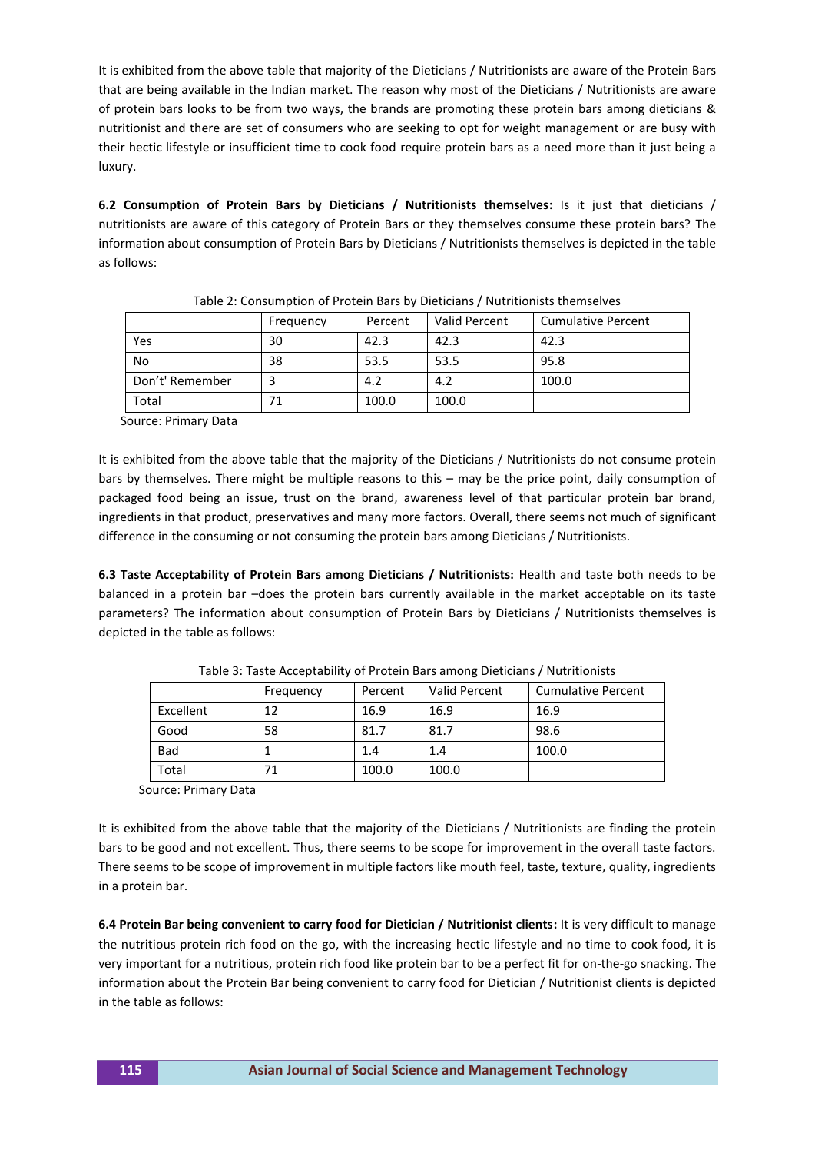It is exhibited from the above table that majority of the Dieticians / Nutritionists are aware of the Protein Bars that are being available in the Indian market. The reason why most of the Dieticians / Nutritionists are aware of protein bars looks to be from two ways, the brands are promoting these protein bars among dieticians & nutritionist and there are set of consumers who are seeking to opt for weight management or are busy with their hectic lifestyle or insufficient time to cook food require protein bars as a need more than it just being a luxury.

**6.2 Consumption of Protein Bars by Dieticians / Nutritionists themselves:** Is it just that dieticians / nutritionists are aware of this category of Protein Bars or they themselves consume these protein bars? The information about consumption of Protein Bars by Dieticians / Nutritionists themselves is depicted in the table as follows:

|                 | Frequency | Percent | Valid Percent | <b>Cumulative Percent</b> |
|-----------------|-----------|---------|---------------|---------------------------|
| Yes             | 30        | 42.3    | 42.3          | 42.3                      |
| No              | 38        | 53.5    | 53.5          | 95.8                      |
| Don't' Remember |           | 4.2     | 4.2           | 100.0                     |
| Total           | 71        | 100.0   | 100.0         |                           |

Table 2: Consumption of Protein Bars by Dieticians / Nutritionists themselves

Source: Primary Data

It is exhibited from the above table that the majority of the Dieticians / Nutritionists do not consume protein bars by themselves. There might be multiple reasons to this – may be the price point, daily consumption of packaged food being an issue, trust on the brand, awareness level of that particular protein bar brand, ingredients in that product, preservatives and many more factors. Overall, there seems not much of significant difference in the consuming or not consuming the protein bars among Dieticians / Nutritionists.

**6.3 Taste Acceptability of Protein Bars among Dieticians / Nutritionists:** Health and taste both needs to be balanced in a protein bar –does the protein bars currently available in the market acceptable on its taste parameters? The information about consumption of Protein Bars by Dieticians / Nutritionists themselves is depicted in the table as follows:

|            | Frequency | Percent | <b>Valid Percent</b> | <b>Cumulative Percent</b> |
|------------|-----------|---------|----------------------|---------------------------|
| Excellent  | 12        | 16.9    | 16.9                 | 16.9                      |
| Good       | 58        | 81.7    | 81.7                 | 98.6                      |
| <b>Bad</b> |           | 1.4     | 1.4                  | 100.0                     |
| Total      | 71        | 100.0   | 100.0                |                           |

Table 3: Taste Acceptability of Protein Bars among Dieticians / Nutritionists

Source: Primary Data

It is exhibited from the above table that the majority of the Dieticians / Nutritionists are finding the protein bars to be good and not excellent. Thus, there seems to be scope for improvement in the overall taste factors. There seems to be scope of improvement in multiple factors like mouth feel, taste, texture, quality, ingredients in a protein bar.

**6.4 Protein Bar being convenient to carry food for Dietician / Nutritionist clients:** It is very difficult to manage the nutritious protein rich food on the go, with the increasing hectic lifestyle and no time to cook food, it is very important for a nutritious, protein rich food like protein bar to be a perfect fit for on-the-go snacking. The information about the Protein Bar being convenient to carry food for Dietician / Nutritionist clients is depicted in the table as follows: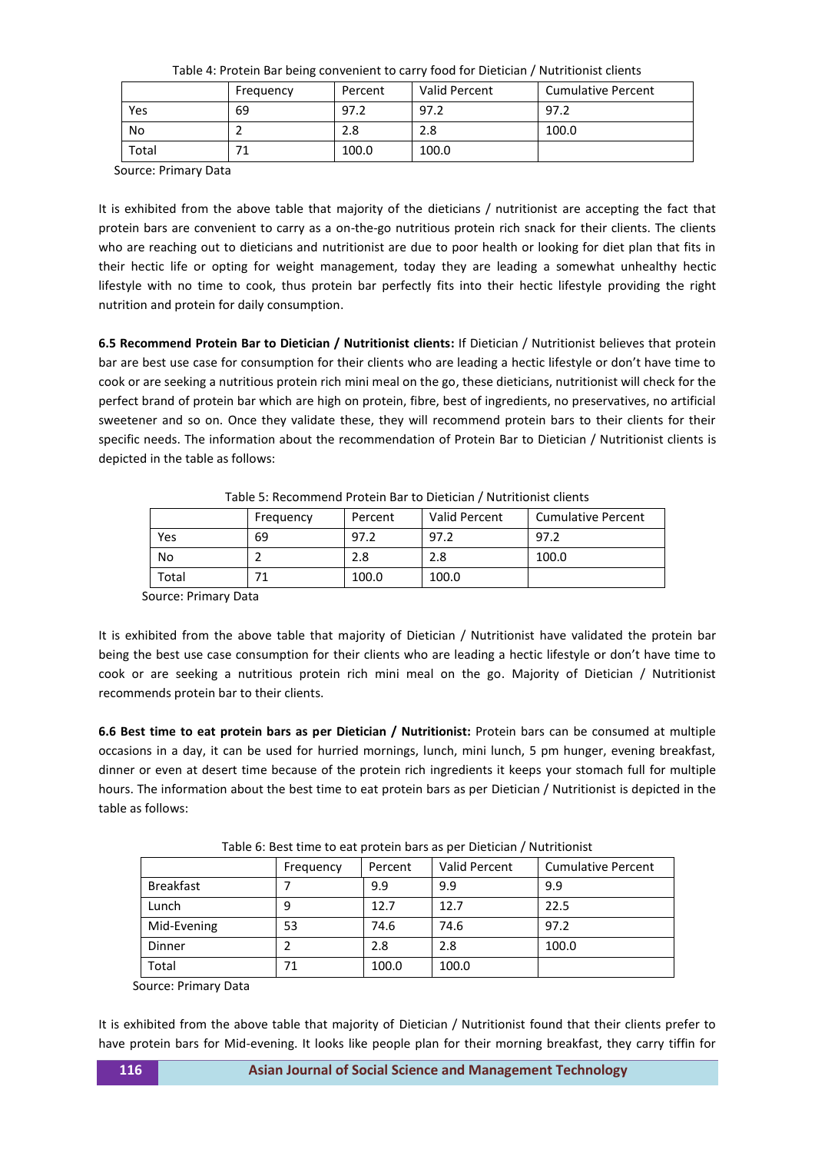|       | Frequency | Percent | Valid Percent | <b>Cumulative Percent</b> |
|-------|-----------|---------|---------------|---------------------------|
| Yes   | 69        | 97.2    | 97.2          | 97.2                      |
| No    |           | 2.8     | 2.8           | 100.0                     |
| Total |           | 100.0   | 100.0         |                           |

Table 4: Protein Bar being convenient to carry food for Dietician / Nutritionist clients

Source: Primary Data

It is exhibited from the above table that majority of the dieticians / nutritionist are accepting the fact that protein bars are convenient to carry as a on-the-go nutritious protein rich snack for their clients. The clients who are reaching out to dieticians and nutritionist are due to poor health or looking for diet plan that fits in their hectic life or opting for weight management, today they are leading a somewhat unhealthy hectic lifestyle with no time to cook, thus protein bar perfectly fits into their hectic lifestyle providing the right nutrition and protein for daily consumption.

**6.5 Recommend Protein Bar to Dietician / Nutritionist clients:** If Dietician / Nutritionist believes that protein bar are best use case for consumption for their clients who are leading a hectic lifestyle or don't have time to cook or are seeking a nutritious protein rich mini meal on the go, these dieticians, nutritionist will check for the perfect brand of protein bar which are high on protein, fibre, best of ingredients, no preservatives, no artificial sweetener and so on. Once they validate these, they will recommend protein bars to their clients for their specific needs. The information about the recommendation of Protein Bar to Dietician / Nutritionist clients is depicted in the table as follows:

|           | Frequency | Percent | Valid Percent | <b>Cumulative Percent</b> |
|-----------|-----------|---------|---------------|---------------------------|
| Yes       | 69        | 97.2    | 97.2          | 97.2                      |
| <b>No</b> |           | 2.8     | 2.8           | 100.0                     |
| Total     |           | 100.0   | 100.0         |                           |

Table 5: Recommend Protein Bar to Dietician / Nutritionist clients

Source: Primary Data

It is exhibited from the above table that majority of Dietician / Nutritionist have validated the protein bar being the best use case consumption for their clients who are leading a hectic lifestyle or don't have time to cook or are seeking a nutritious protein rich mini meal on the go. Majority of Dietician / Nutritionist recommends protein bar to their clients.

**6.6 Best time to eat protein bars as per Dietician / Nutritionist:** Protein bars can be consumed at multiple occasions in a day, it can be used for hurried mornings, lunch, mini lunch, 5 pm hunger, evening breakfast, dinner or even at desert time because of the protein rich ingredients it keeps your stomach full for multiple hours. The information about the best time to eat protein bars as per Dietician / Nutritionist is depicted in the table as follows:

|                  | Frequency | Percent | Valid Percent | <b>Cumulative Percent</b> |
|------------------|-----------|---------|---------------|---------------------------|
| <b>Breakfast</b> |           | 9.9     | 9.9           | 9.9                       |
| Lunch            |           | 12.7    | 12.7          | 22.5                      |
| Mid-Evening      | 53        | 74.6    | 74.6          | 97.2                      |
| Dinner           |           | 2.8     | 2.8           | 100.0                     |
| Total            | 71        | 100.0   | 100.0         |                           |

Table 6: Best time to eat protein bars as per Dietician / Nutritionist

Source: Primary Data

It is exhibited from the above table that majority of Dietician / Nutritionist found that their clients prefer to have protein bars for Mid-evening. It looks like people plan for their morning breakfast, they carry tiffin for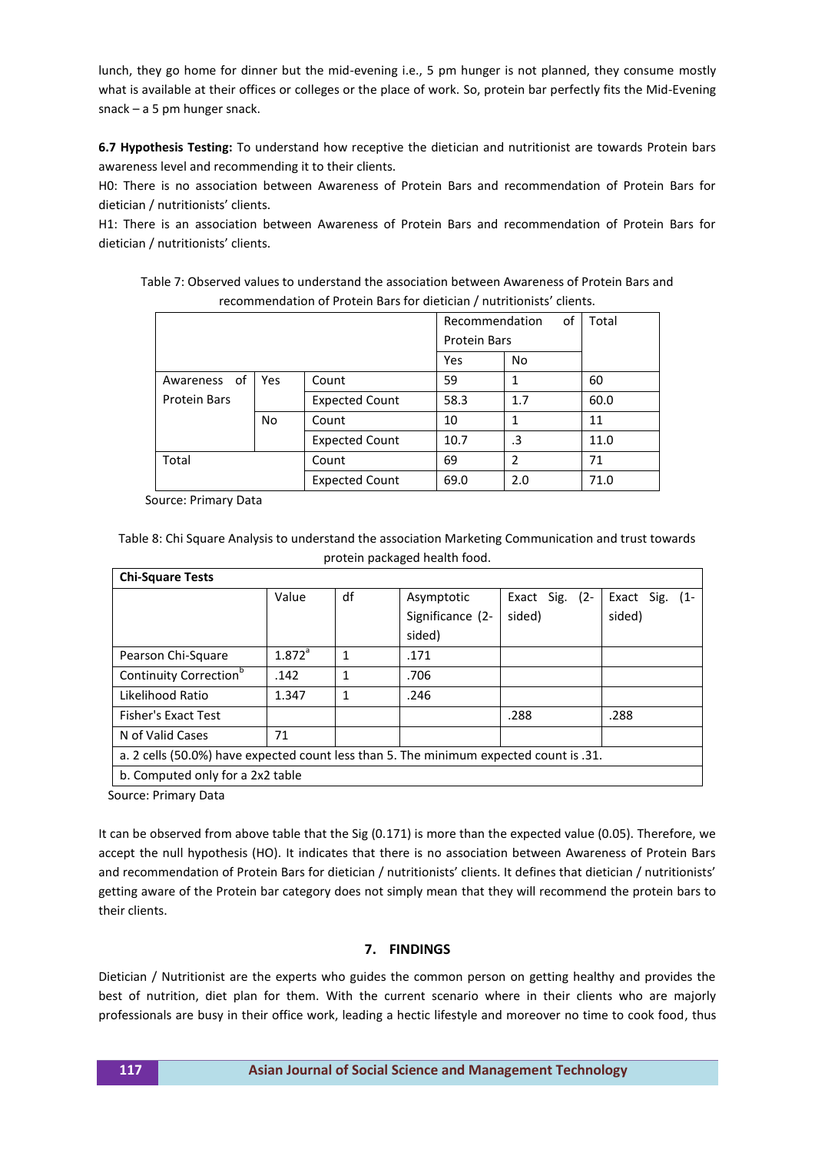lunch, they go home for dinner but the mid-evening i.e., 5 pm hunger is not planned, they consume mostly what is available at their offices or colleges or the place of work. So, protein bar perfectly fits the Mid-Evening snack – a 5 pm hunger snack.

**6.7 Hypothesis Testing:** To understand how receptive the dietician and nutritionist are towards Protein bars awareness level and recommending it to their clients.

H0: There is no association between Awareness of Protein Bars and recommendation of Protein Bars for dietician / nutritionists' clients.

H1: There is an association between Awareness of Protein Bars and recommendation of Protein Bars for dietician / nutritionists' clients.

| Table 7: Observed values to understand the association between Awareness of Protein Bars and |
|----------------------------------------------------------------------------------------------|
| recommendation of Protein Bars for dietician / nutritionists' clients.                       |

|                     |     |                       | Recommendation      | οf             | Total |
|---------------------|-----|-----------------------|---------------------|----------------|-------|
|                     |     |                       | <b>Protein Bars</b> |                |       |
|                     |     |                       | Yes                 | No             |       |
| Awareness<br>- of   | Yes | Count                 | 59                  |                | 60    |
| <b>Protein Bars</b> |     | <b>Expected Count</b> | 58.3                | 1.7            | 60.0  |
|                     | No. | Count                 | 10                  |                | 11    |
|                     |     | <b>Expected Count</b> | 10.7                | $\cdot$ 3      | 11.0  |
| Total               |     | Count                 | 69                  | $\overline{2}$ | 71    |
|                     |     | <b>Expected Count</b> | 69.0                | 2.0            | 71.0  |

Source: Primary Data

| Table 8: Chi Square Analysis to understand the association Marketing Communication and trust towards |
|------------------------------------------------------------------------------------------------------|
| protein packaged health food.                                                                        |

| <b>Chi-Square Tests</b>                                                                |             |    |                  |                |                |  |  |  |
|----------------------------------------------------------------------------------------|-------------|----|------------------|----------------|----------------|--|--|--|
|                                                                                        | Value       | df | Asymptotic       | Exact Sig. (2- | Exact Sig. (1- |  |  |  |
|                                                                                        |             |    | Significance (2- | sided)         | sided)         |  |  |  |
|                                                                                        |             |    | sided)           |                |                |  |  |  |
| Pearson Chi-Square                                                                     | $1.872^{a}$ |    | .171             |                |                |  |  |  |
| Continuity Correction <sup>b</sup>                                                     | .142        | 1  | .706             |                |                |  |  |  |
| Likelihood Ratio                                                                       | 1.347       | 1  | .246             |                |                |  |  |  |
| Fisher's Exact Test                                                                    |             |    |                  | .288           | .288           |  |  |  |
| N of Valid Cases                                                                       | 71          |    |                  |                |                |  |  |  |
| a. 2 cells (50.0%) have expected count less than 5. The minimum expected count is .31. |             |    |                  |                |                |  |  |  |
| b. Computed only for a 2x2 table                                                       |             |    |                  |                |                |  |  |  |

Source: Primary Data

It can be observed from above table that the Sig (0.171) is more than the expected value (0.05). Therefore, we accept the null hypothesis (HO). It indicates that there is no association between Awareness of Protein Bars and recommendation of Protein Bars for dietician / nutritionists' clients. It defines that dietician / nutritionists' getting aware of the Protein bar category does not simply mean that they will recommend the protein bars to their clients.

#### **7. FINDINGS**

Dietician / Nutritionist are the experts who guides the common person on getting healthy and provides the best of nutrition, diet plan for them. With the current scenario where in their clients who are majorly professionals are busy in their office work, leading a hectic lifestyle and moreover no time to cook food, thus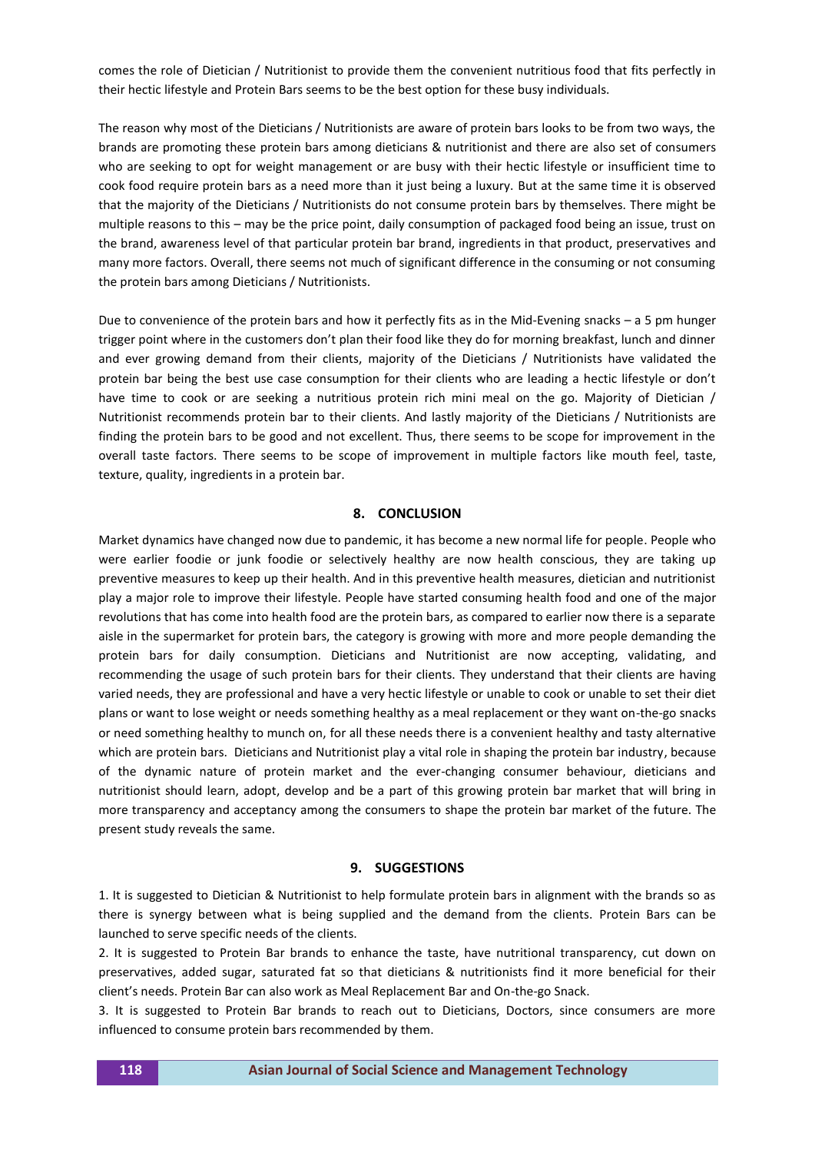comes the role of Dietician / Nutritionist to provide them the convenient nutritious food that fits perfectly in their hectic lifestyle and Protein Bars seems to be the best option for these busy individuals.

The reason why most of the Dieticians / Nutritionists are aware of protein bars looks to be from two ways, the brands are promoting these protein bars among dieticians & nutritionist and there are also set of consumers who are seeking to opt for weight management or are busy with their hectic lifestyle or insufficient time to cook food require protein bars as a need more than it just being a luxury. But at the same time it is observed that the majority of the Dieticians / Nutritionists do not consume protein bars by themselves. There might be multiple reasons to this – may be the price point, daily consumption of packaged food being an issue, trust on the brand, awareness level of that particular protein bar brand, ingredients in that product, preservatives and many more factors. Overall, there seems not much of significant difference in the consuming or not consuming the protein bars among Dieticians / Nutritionists.

Due to convenience of the protein bars and how it perfectly fits as in the Mid-Evening snacks – a 5 pm hunger trigger point where in the customers don't plan their food like they do for morning breakfast, lunch and dinner and ever growing demand from their clients, majority of the Dieticians / Nutritionists have validated the protein bar being the best use case consumption for their clients who are leading a hectic lifestyle or don't have time to cook or are seeking a nutritious protein rich mini meal on the go. Majority of Dietician / Nutritionist recommends protein bar to their clients. And lastly majority of the Dieticians / Nutritionists are finding the protein bars to be good and not excellent. Thus, there seems to be scope for improvement in the overall taste factors. There seems to be scope of improvement in multiple factors like mouth feel, taste, texture, quality, ingredients in a protein bar.

#### **8. CONCLUSION**

Market dynamics have changed now due to pandemic, it has become a new normal life for people. People who were earlier foodie or junk foodie or selectively healthy are now health conscious, they are taking up preventive measures to keep up their health. And in this preventive health measures, dietician and nutritionist play a major role to improve their lifestyle. People have started consuming health food and one of the major revolutions that has come into health food are the protein bars, as compared to earlier now there is a separate aisle in the supermarket for protein bars, the category is growing with more and more people demanding the protein bars for daily consumption. Dieticians and Nutritionist are now accepting, validating, and recommending the usage of such protein bars for their clients. They understand that their clients are having varied needs, they are professional and have a very hectic lifestyle or unable to cook or unable to set their diet plans or want to lose weight or needs something healthy as a meal replacement or they want on-the-go snacks or need something healthy to munch on, for all these needs there is a convenient healthy and tasty alternative which are protein bars. Dieticians and Nutritionist play a vital role in shaping the protein bar industry, because of the dynamic nature of protein market and the ever-changing consumer behaviour, dieticians and nutritionist should learn, adopt, develop and be a part of this growing protein bar market that will bring in more transparency and acceptancy among the consumers to shape the protein bar market of the future. The present study reveals the same.

#### **9. SUGGESTIONS**

1. It is suggested to Dietician & Nutritionist to help formulate protein bars in alignment with the brands so as there is synergy between what is being supplied and the demand from the clients. Protein Bars can be launched to serve specific needs of the clients.

2. It is suggested to Protein Bar brands to enhance the taste, have nutritional transparency, cut down on preservatives, added sugar, saturated fat so that dieticians & nutritionists find it more beneficial for their client's needs. Protein Bar can also work as Meal Replacement Bar and On-the-go Snack.

3. It is suggested to Protein Bar brands to reach out to Dieticians, Doctors, since consumers are more influenced to consume protein bars recommended by them.